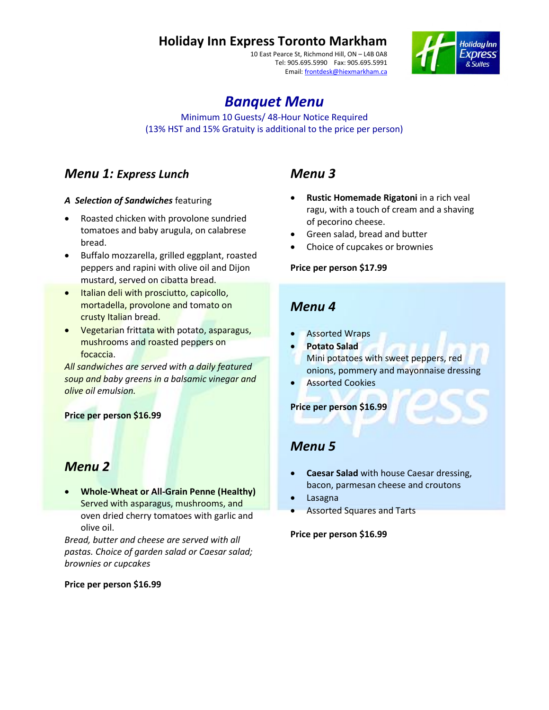# **Holiday Inn Express Toronto Markham**

10 East Pearce St, Richmond Hill, ON – L4B 0A8 Tel: 905.695.5990 Fax: 905.695.5991 Email: frontdesk@hiexmarkham.ca



# *Banquet Menu*

Minimum 10 Guests/ 48-Hour Notice Required (13% HST and 15% Gratuity is additional to the price per person)

## *Menu 1: Express Lunch*

#### *A Selection of Sandwiches* featuring

- Roasted chicken with provolone sundried tomatoes and baby arugula, on calabrese bread.
- Buffalo mozzarella, grilled eggplant, roasted peppers and rapini with olive oil and Dijon mustard, served on cibatta bread.
- **•** Italian deli with prosciutto, capicollo, mortadella, provolone and tomato on crusty Italian bread.
- **•** Vegetarian frittata with potato, asparagus, mushrooms and roasted peppers on focaccia.

*All sandwiches are served with a daily featured soup and baby greens in a balsamic vinegar and olive oil emulsion.*

#### **Price per person \$16.99**

### *Menu 2*

 **Whole-Wheat or All-Grain Penne (Healthy)** Served with asparagus, mushrooms, and oven dried cherry tomatoes with garlic and olive oil.

*Bread, butter and cheese are served with all pastas. Choice of garden salad or Caesar salad; brownies or cupcakes*

#### **Price per person \$16.99**

## *Menu 3*

- **Rustic Homemade Rigatoni** in a rich veal ragu, with a touch of cream and a shaving of pecorino cheese.
- Green salad, bread and butter
- Choice of cupcakes or brownies

#### **Price per person \$17.99**

### *Menu 4*

- Assorted Wraps
- **Potato Salad** Mini potatoes with sweet peppers, red onions, pommery and mayonnaise dressing
- Assorted Cookies

#### **Price per person \$16.99**

### *Menu 5*

- **Caesar Salad** with house Caesar dressing, bacon, parmesan cheese and croutons
- Lasagna
- Assorted Squares and Tarts

**Price per person \$16.99**